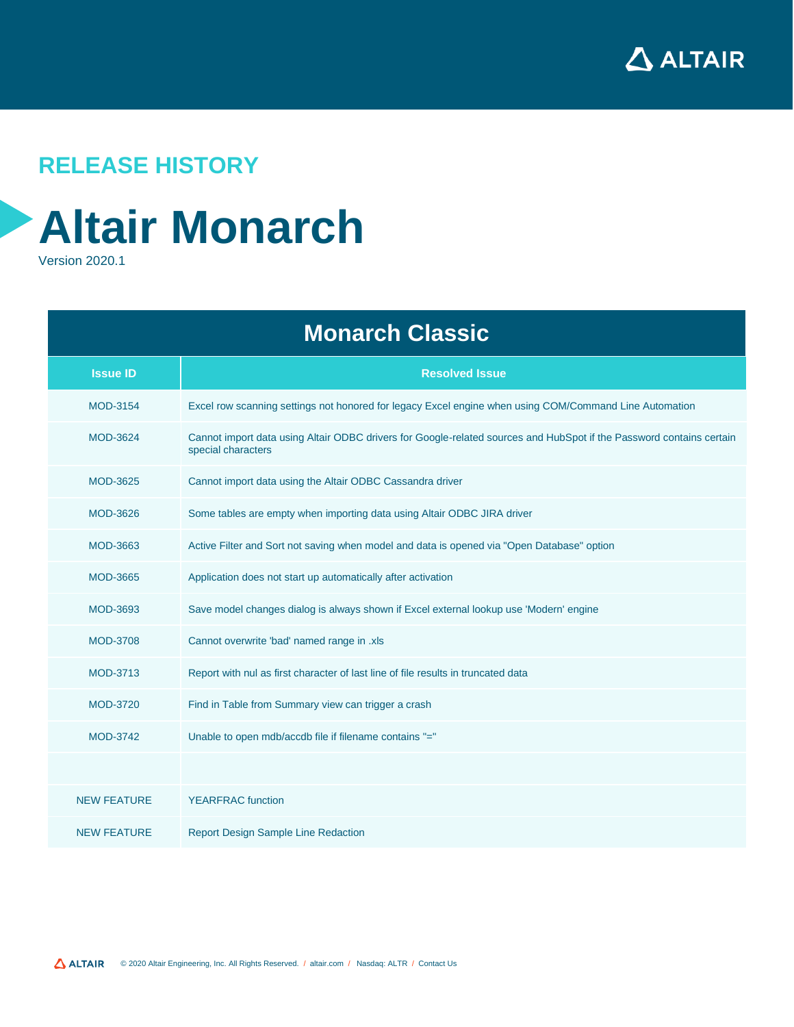

## **RELEASE HISTORY**

## **Altair Monarch**

Version 2020.1

| <b>Monarch Classic</b> |                                                                                                                                            |  |
|------------------------|--------------------------------------------------------------------------------------------------------------------------------------------|--|
| <b>Issue ID</b>        | <b>Resolved Issue</b>                                                                                                                      |  |
| <b>MOD-3154</b>        | Excel row scanning settings not honored for legacy Excel engine when using COM/Command Line Automation                                     |  |
| MOD-3624               | Cannot import data using Altair ODBC drivers for Google-related sources and HubSpot if the Password contains certain<br>special characters |  |
| MOD-3625               | Cannot import data using the Altair ODBC Cassandra driver                                                                                  |  |
| MOD-3626               | Some tables are empty when importing data using Altair ODBC JIRA driver                                                                    |  |
| <b>MOD-3663</b>        | Active Filter and Sort not saving when model and data is opened via "Open Database" option                                                 |  |
| <b>MOD-3665</b>        | Application does not start up automatically after activation                                                                               |  |
| MOD-3693               | Save model changes dialog is always shown if Excel external lookup use 'Modern' engine                                                     |  |
| <b>MOD-3708</b>        | Cannot overwrite 'bad' named range in .xls                                                                                                 |  |
| <b>MOD-3713</b>        | Report with nul as first character of last line of file results in truncated data                                                          |  |
| <b>MOD-3720</b>        | Find in Table from Summary view can trigger a crash                                                                                        |  |
| <b>MOD-3742</b>        | Unable to open mdb/accdb file if filename contains "="                                                                                     |  |
|                        |                                                                                                                                            |  |
| <b>NEW FEATURE</b>     | <b>YEARFRAC</b> function                                                                                                                   |  |
| <b>NEW FEATURE</b>     | <b>Report Design Sample Line Redaction</b>                                                                                                 |  |
|                        |                                                                                                                                            |  |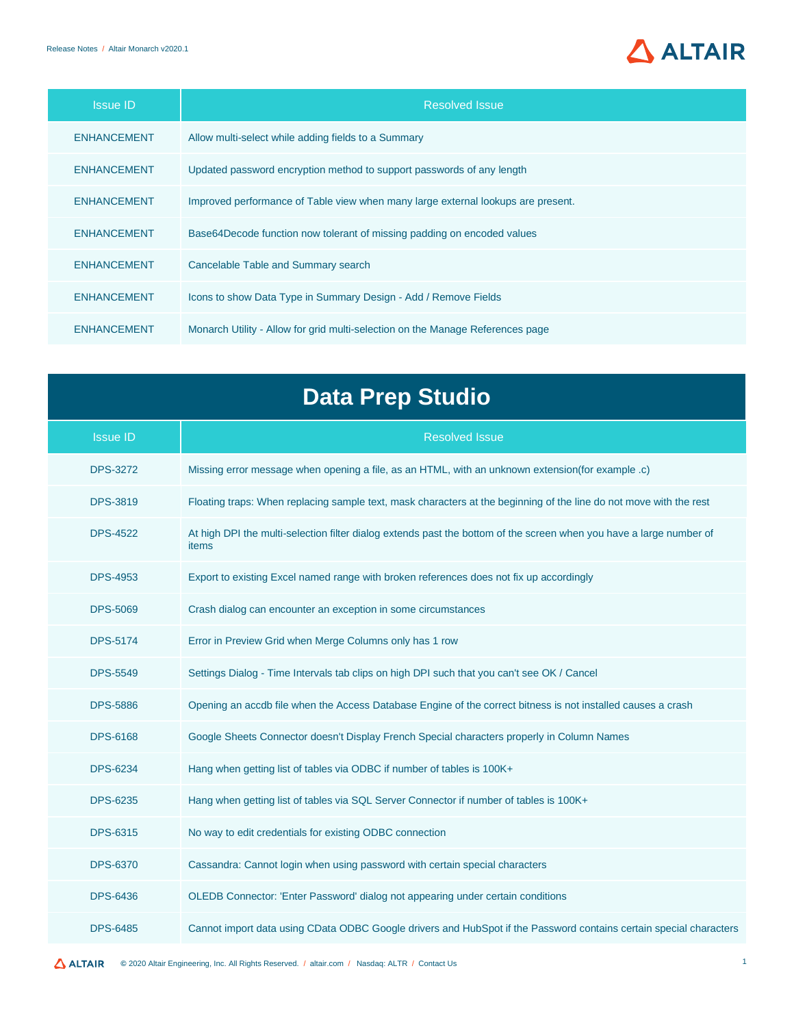

| <b>Issue ID</b>    | <b>Resolved Issue</b>                                                            |
|--------------------|----------------------------------------------------------------------------------|
| <b>ENHANCEMENT</b> | Allow multi-select while adding fields to a Summary                              |
| <b>ENHANCEMENT</b> | Updated password encryption method to support passwords of any length            |
| <b>ENHANCEMENT</b> | Improved performance of Table view when many large external lookups are present. |
| <b>ENHANCEMENT</b> | Base64Decode function now tolerant of missing padding on encoded values          |
| <b>ENHANCEMENT</b> | Cancelable Table and Summary search                                              |
| <b>ENHANCEMENT</b> | Icons to show Data Type in Summary Design - Add / Remove Fields                  |
| <b>ENHANCEMENT</b> | Monarch Utility - Allow for grid multi-selection on the Manage References page   |

| <b>Data Prep Studio</b> |                                                                                                                              |  |
|-------------------------|------------------------------------------------------------------------------------------------------------------------------|--|
| <b>Issue ID</b>         | <b>Resolved Issue</b>                                                                                                        |  |
| <b>DPS-3272</b>         | Missing error message when opening a file, as an HTML, with an unknown extension (for example .c)                            |  |
| <b>DPS-3819</b>         | Floating traps: When replacing sample text, mask characters at the beginning of the line do not move with the rest           |  |
| <b>DPS-4522</b>         | At high DPI the multi-selection filter dialog extends past the bottom of the screen when you have a large number of<br>items |  |
| <b>DPS-4953</b>         | Export to existing Excel named range with broken references does not fix up accordingly                                      |  |
| <b>DPS-5069</b>         | Crash dialog can encounter an exception in some circumstances                                                                |  |
| <b>DPS-5174</b>         | Error in Preview Grid when Merge Columns only has 1 row                                                                      |  |
| <b>DPS-5549</b>         | Settings Dialog - Time Intervals tab clips on high DPI such that you can't see OK / Cancel                                   |  |
| <b>DPS-5886</b>         | Opening an accdb file when the Access Database Engine of the correct bitness is not installed causes a crash                 |  |
| <b>DPS-6168</b>         | Google Sheets Connector doesn't Display French Special characters properly in Column Names                                   |  |
| <b>DPS-6234</b>         | Hang when getting list of tables via ODBC if number of tables is 100K+                                                       |  |
| <b>DPS-6235</b>         | Hang when getting list of tables via SQL Server Connector if number of tables is 100K+                                       |  |
| <b>DPS-6315</b>         | No way to edit credentials for existing ODBC connection                                                                      |  |
| <b>DPS-6370</b>         | Cassandra: Cannot login when using password with certain special characters                                                  |  |
| <b>DPS-6436</b>         | OLEDB Connector: 'Enter Password' dialog not appearing under certain conditions                                              |  |
| <b>DPS-6485</b>         | Cannot import data using CData ODBC Google drivers and HubSpot if the Password contains certain special characters           |  |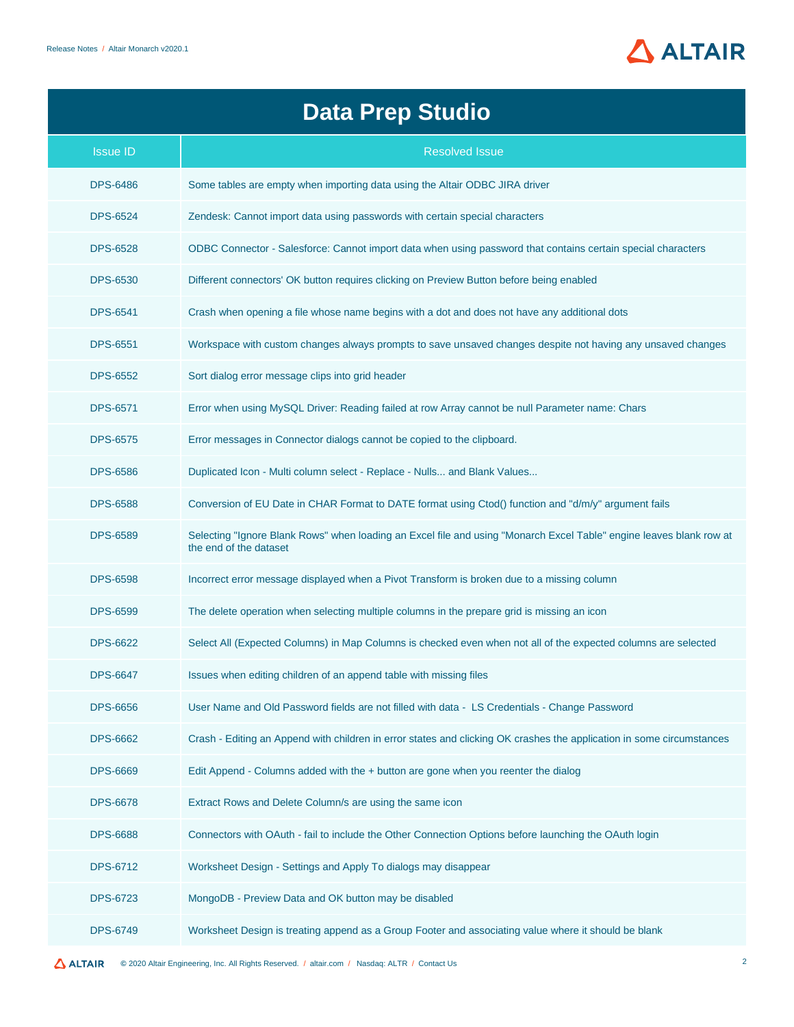

| <b>Data Prep Studio</b> |                                                                                                                                               |
|-------------------------|-----------------------------------------------------------------------------------------------------------------------------------------------|
| <b>Issue ID</b>         | <b>Resolved Issue</b>                                                                                                                         |
| <b>DPS-6486</b>         | Some tables are empty when importing data using the Altair ODBC JIRA driver                                                                   |
| <b>DPS-6524</b>         | Zendesk: Cannot import data using passwords with certain special characters                                                                   |
| <b>DPS-6528</b>         | ODBC Connector - Salesforce: Cannot import data when using password that contains certain special characters                                  |
| <b>DPS-6530</b>         | Different connectors' OK button requires clicking on Preview Button before being enabled                                                      |
| <b>DPS-6541</b>         | Crash when opening a file whose name begins with a dot and does not have any additional dots                                                  |
| <b>DPS-6551</b>         | Workspace with custom changes always prompts to save unsaved changes despite not having any unsaved changes                                   |
| <b>DPS-6552</b>         | Sort dialog error message clips into grid header                                                                                              |
| <b>DPS-6571</b>         | Error when using MySQL Driver: Reading failed at row Array cannot be null Parameter name: Chars                                               |
| <b>DPS-6575</b>         | Error messages in Connector dialogs cannot be copied to the clipboard.                                                                        |
| <b>DPS-6586</b>         | Duplicated Icon - Multi column select - Replace - Nulls and Blank Values                                                                      |
| <b>DPS-6588</b>         | Conversion of EU Date in CHAR Format to DATE format using Ctod() function and "d/m/y" argument fails                                          |
| <b>DPS-6589</b>         | Selecting "Ignore Blank Rows" when loading an Excel file and using "Monarch Excel Table" engine leaves blank row at<br>the end of the dataset |
| <b>DPS-6598</b>         | Incorrect error message displayed when a Pivot Transform is broken due to a missing column                                                    |
| <b>DPS-6599</b>         | The delete operation when selecting multiple columns in the prepare grid is missing an icon                                                   |
| <b>DPS-6622</b>         | Select All (Expected Columns) in Map Columns is checked even when not all of the expected columns are selected                                |
| <b>DPS-6647</b>         | Issues when editing children of an append table with missing files                                                                            |
| <b>DPS-6656</b>         | User Name and Old Password fields are not filled with data - LS Credentials - Change Password                                                 |
| <b>DPS-6662</b>         | Crash - Editing an Append with children in error states and clicking OK crashes the application in some circumstances                         |
| <b>DPS-6669</b>         | Edit Append - Columns added with the + button are gone when you reenter the dialog                                                            |
| <b>DPS-6678</b>         | Extract Rows and Delete Column/s are using the same icon                                                                                      |
| <b>DPS-6688</b>         | Connectors with OAuth - fail to include the Other Connection Options before launching the OAuth login                                         |
| <b>DPS-6712</b>         | Worksheet Design - Settings and Apply To dialogs may disappear                                                                                |
| <b>DPS-6723</b>         | MongoDB - Preview Data and OK button may be disabled                                                                                          |
| <b>DPS-6749</b>         | Worksheet Design is treating append as a Group Footer and associating value where it should be blank                                          |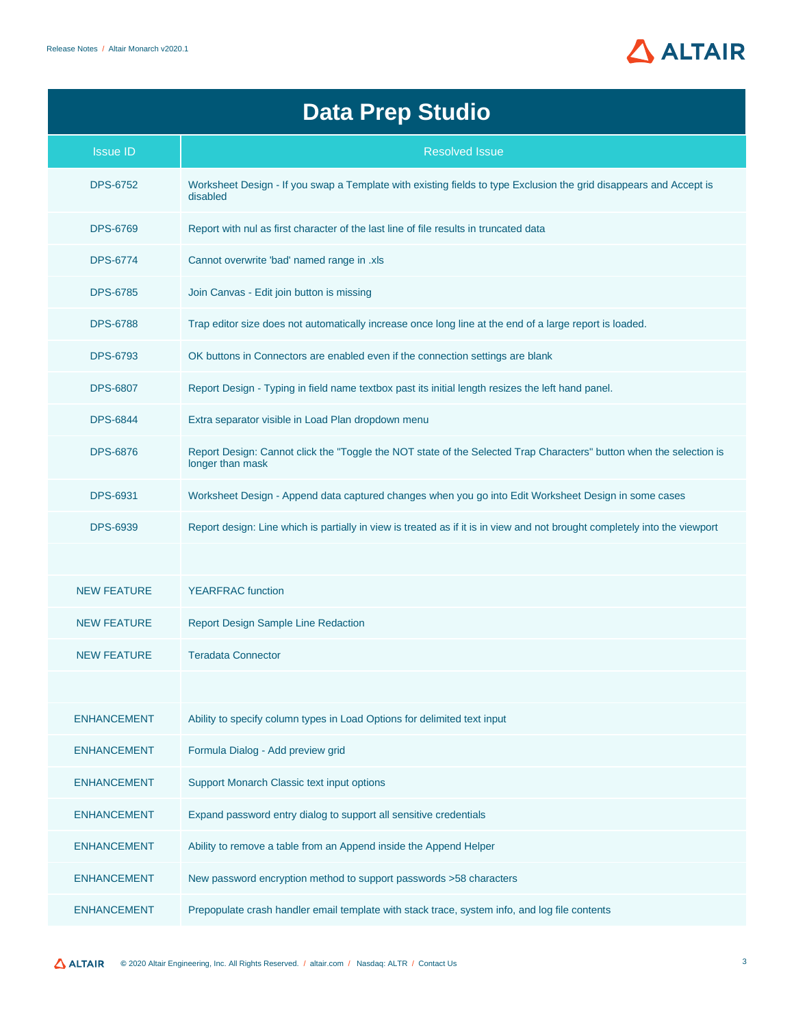

## **Data Prep Studio**

| <b>Issue ID</b>    | <b>Resolved Issue</b>                                                                                                                   |
|--------------------|-----------------------------------------------------------------------------------------------------------------------------------------|
| <b>DPS-6752</b>    | Worksheet Design - If you swap a Template with existing fields to type Exclusion the grid disappears and Accept is<br>disabled          |
| <b>DPS-6769</b>    | Report with nul as first character of the last line of file results in truncated data                                                   |
| <b>DPS-6774</b>    | Cannot overwrite 'bad' named range in .xls                                                                                              |
| <b>DPS-6785</b>    | Join Canvas - Edit join button is missing                                                                                               |
| <b>DPS-6788</b>    | Trap editor size does not automatically increase once long line at the end of a large report is loaded.                                 |
| <b>DPS-6793</b>    | OK buttons in Connectors are enabled even if the connection settings are blank                                                          |
| <b>DPS-6807</b>    | Report Design - Typing in field name textbox past its initial length resizes the left hand panel.                                       |
| <b>DPS-6844</b>    | Extra separator visible in Load Plan dropdown menu                                                                                      |
| <b>DPS-6876</b>    | Report Design: Cannot click the "Toggle the NOT state of the Selected Trap Characters" button when the selection is<br>longer than mask |
| <b>DPS-6931</b>    | Worksheet Design - Append data captured changes when you go into Edit Worksheet Design in some cases                                    |
| <b>DPS-6939</b>    | Report design: Line which is partially in view is treated as if it is in view and not brought completely into the viewport              |
|                    |                                                                                                                                         |
| <b>NEW FEATURE</b> | <b>YEARFRAC</b> function                                                                                                                |
| <b>NEW FEATURE</b> | <b>Report Design Sample Line Redaction</b>                                                                                              |
| <b>NEW FEATURE</b> | <b>Teradata Connector</b>                                                                                                               |
|                    |                                                                                                                                         |
| <b>ENHANCEMENT</b> | Ability to specify column types in Load Options for delimited text input                                                                |
| <b>ENHANCEMENT</b> | Formula Dialog - Add preview grid                                                                                                       |
| <b>ENHANCEMENT</b> | Support Monarch Classic text input options                                                                                              |
| <b>ENHANCEMENT</b> | Expand password entry dialog to support all sensitive credentials                                                                       |
| <b>ENHANCEMENT</b> | Ability to remove a table from an Append inside the Append Helper                                                                       |
| <b>ENHANCEMENT</b> | New password encryption method to support passwords >58 characters                                                                      |
| <b>ENHANCEMENT</b> | Prepopulate crash handler email template with stack trace, system info, and log file contents                                           |